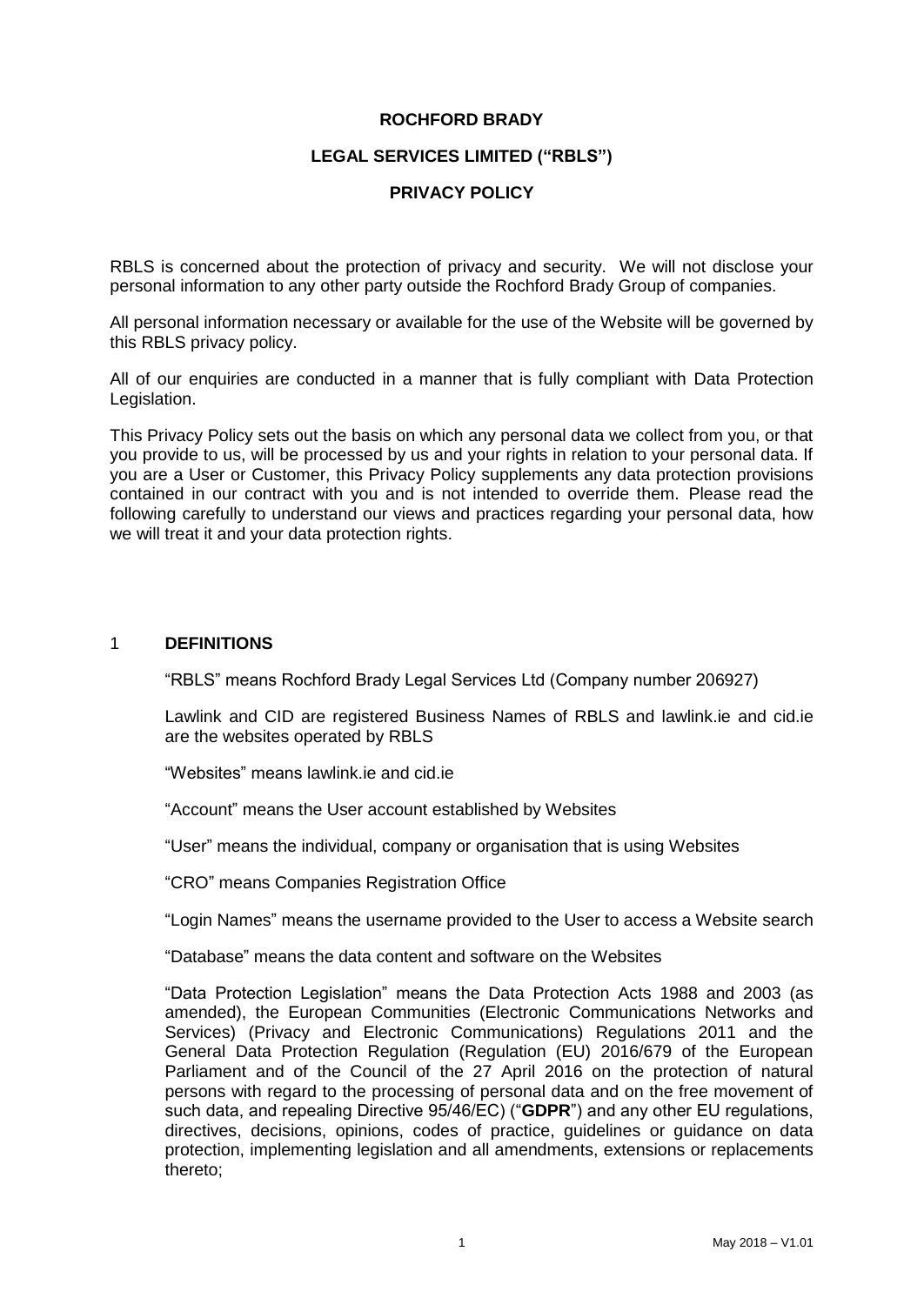## **ROCHFORD BRADY**

### **LEGAL SERVICES LIMITED ("RBLS")**

### **PRIVACY POLICY**

RBLS is concerned about the protection of privacy and security. We will not disclose your personal information to any other party outside the Rochford Brady Group of companies.

All personal information necessary or available for the use of the Website will be governed by this RBLS privacy policy.

All of our enquiries are conducted in a manner that is fully compliant with Data Protection Legislation.

This Privacy Policy sets out the basis on which any personal data we collect from you, or that you provide to us, will be processed by us and your rights in relation to your personal data. If you are a User or Customer, this Privacy Policy supplements any data protection provisions contained in our contract with you and is not intended to override them. Please read the following carefully to understand our views and practices regarding your personal data, how we will treat it and your data protection rights.

#### 1 **DEFINITIONS**

"RBLS" means Rochford Brady Legal Services Ltd (Company number 206927)

Lawlink and CID are registered Business Names of RBLS and lawlink.ie and cid.ie are the websites operated by RBLS

"Websites" means lawlink.ie and cid.ie

"Account" means the User account established by Websites

"User" means the individual, company or organisation that is using Websites

"CRO" means Companies Registration Office

"Login Names" means the username provided to the User to access a Website search

"Database" means the data content and software on the Websites

"Data Protection Legislation" means the Data Protection Acts 1988 and 2003 (as amended), the European Communities (Electronic Communications Networks and Services) (Privacy and Electronic Communications) Regulations 2011 and the General Data Protection Regulation (Regulation (EU) 2016/679 of the European Parliament and of the Council of the 27 April 2016 on the protection of natural persons with regard to the processing of personal data and on the free movement of such data, and repealing Directive 95/46/EC) ("**GDPR**") and any other EU regulations, directives, decisions, opinions, codes of practice, guidelines or guidance on data protection, implementing legislation and all amendments, extensions or replacements thereto;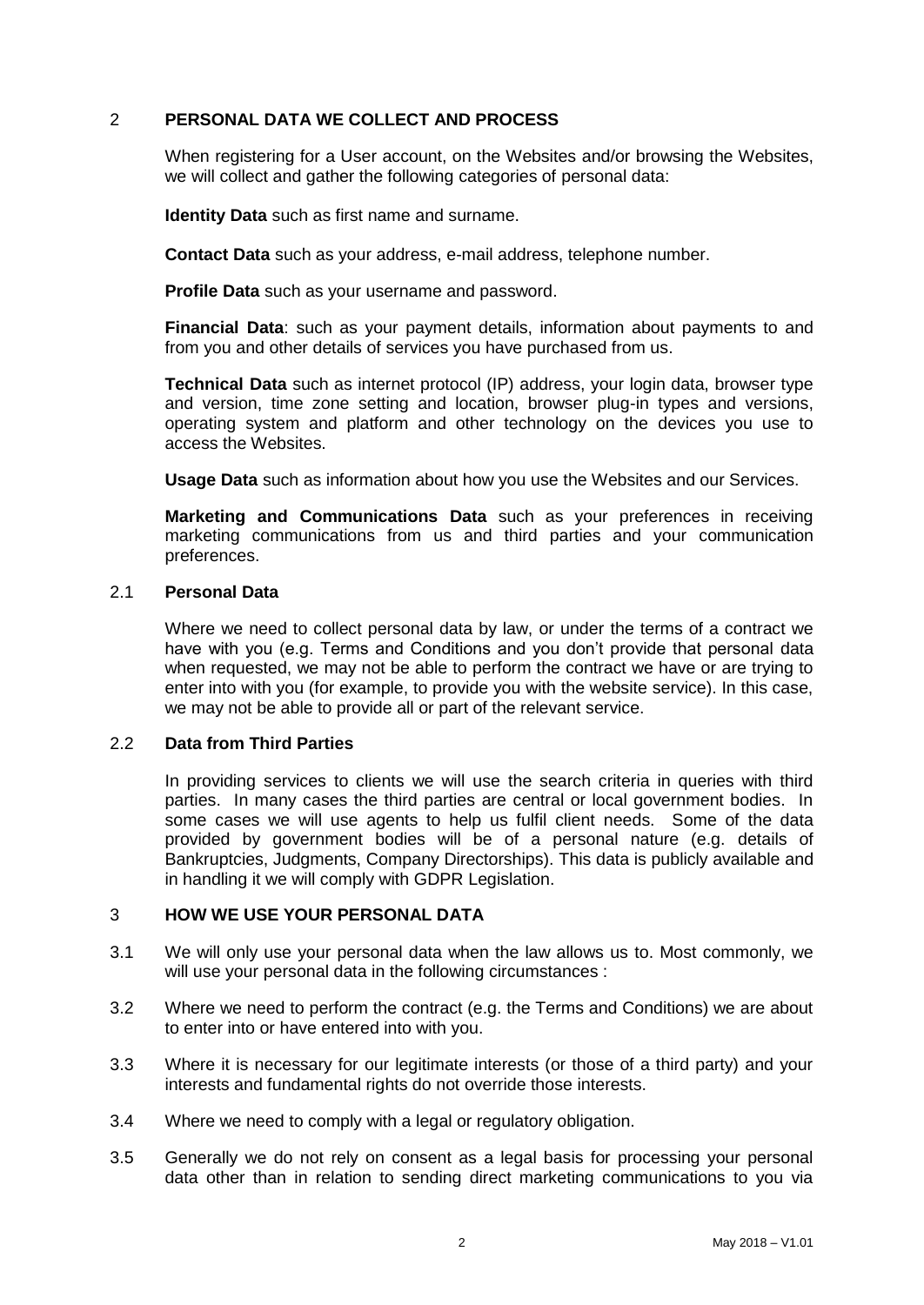# 2 **PERSONAL DATA WE COLLECT AND PROCESS**

When registering for a User account, on the Websites and/or browsing the Websites, we will collect and gather the following categories of personal data:

**Identity Data** such as first name and surname.

**Contact Data** such as your address, e-mail address, telephone number.

**Profile Data** such as your username and password.

**Financial Data**: such as your payment details, information about payments to and from you and other details of services you have purchased from us.

**Technical Data** such as internet protocol (IP) address, your login data, browser type and version, time zone setting and location, browser plug-in types and versions, operating system and platform and other technology on the devices you use to access the Websites.

**Usage Data** such as information about how you use the Websites and our Services.

**Marketing and Communications Data** such as your preferences in receiving marketing communications from us and third parties and your communication preferences.

### 2.1 **Personal Data**

Where we need to collect personal data by law, or under the terms of a contract we have with you (e.g. Terms and Conditions and you don't provide that personal data when requested, we may not be able to perform the contract we have or are trying to enter into with you (for example, to provide you with the website service). In this case, we may not be able to provide all or part of the relevant service.

### 2.2 **Data from Third Parties**

In providing services to clients we will use the search criteria in queries with third parties. In many cases the third parties are central or local government bodies. In some cases we will use agents to help us fulfil client needs. Some of the data provided by government bodies will be of a personal nature (e.g. details of Bankruptcies, Judgments, Company Directorships). This data is publicly available and in handling it we will comply with GDPR Legislation.

# 3 **HOW WE USE YOUR PERSONAL DATA**

- 3.1 We will only use your personal data when the law allows us to. Most commonly, we will use your personal data in the following circumstances :
- 3.2 Where we need to perform the contract (e.g. the Terms and Conditions) we are about to enter into or have entered into with you.
- 3.3 Where it is necessary for our legitimate interests (or those of a third party) and your interests and fundamental rights do not override those interests.
- 3.4 Where we need to comply with a legal or regulatory obligation.
- 3.5 Generally we do not rely on consent as a legal basis for processing your personal data other than in relation to sending direct marketing communications to you via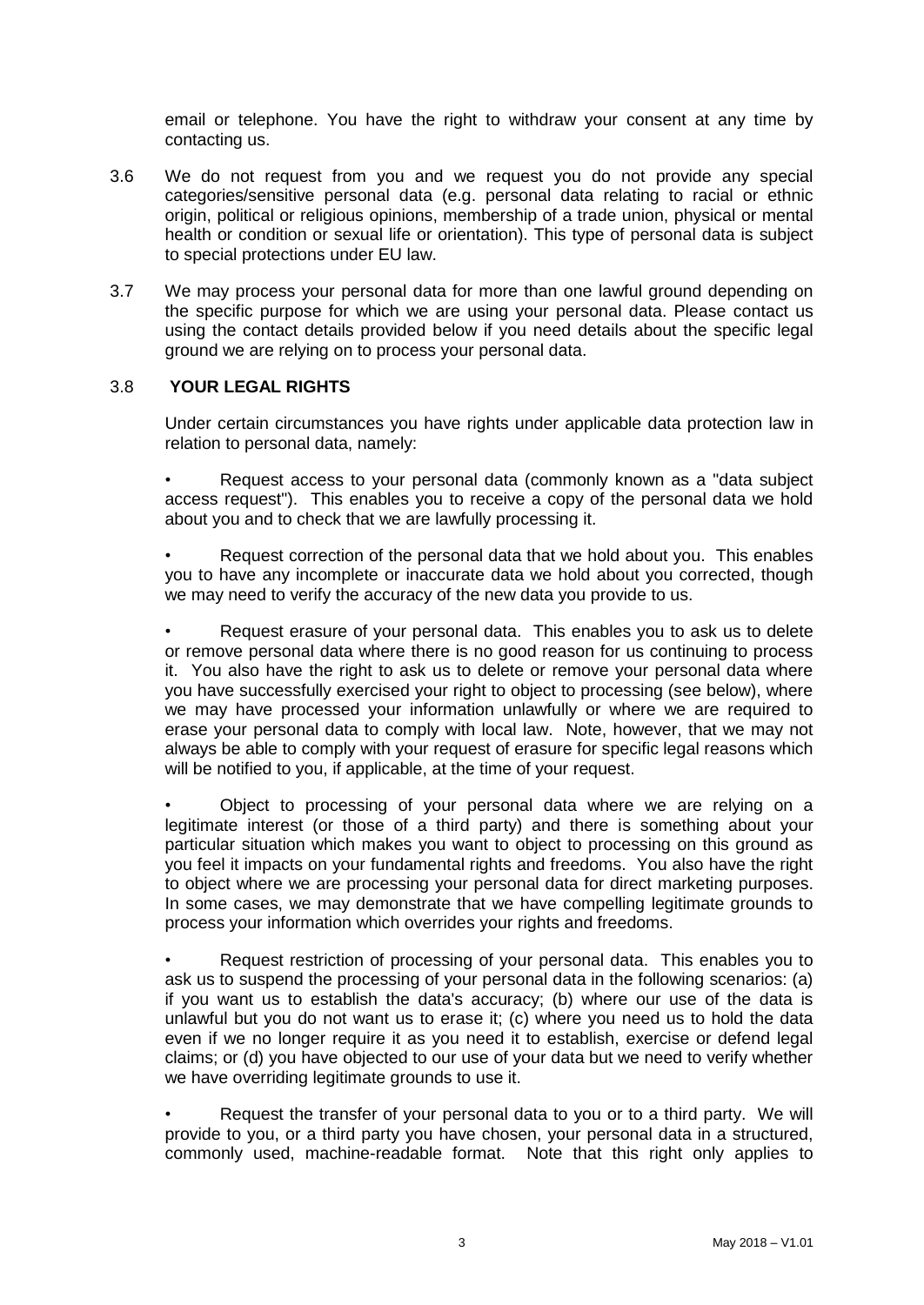email or telephone. You have the right to withdraw your consent at any time by contacting us.

- 3.6 We do not request from you and we request you do not provide any special categories/sensitive personal data (e.g. personal data relating to racial or ethnic origin, political or religious opinions, membership of a trade union, physical or mental health or condition or sexual life or orientation). This type of personal data is subject to special protections under EU law.
- 3.7 We may process your personal data for more than one lawful ground depending on the specific purpose for which we are using your personal data. Please contact us using the contact details provided below if you need details about the specific legal ground we are relying on to process your personal data.

### 3.8 **YOUR LEGAL RIGHTS**

Under certain circumstances you have rights under applicable data protection law in relation to personal data, namely:

• Request access to your personal data (commonly known as a "data subject access request"). This enables you to receive a copy of the personal data we hold about you and to check that we are lawfully processing it.

• Request correction of the personal data that we hold about you. This enables you to have any incomplete or inaccurate data we hold about you corrected, though we may need to verify the accuracy of the new data you provide to us.

• Request erasure of your personal data. This enables you to ask us to delete or remove personal data where there is no good reason for us continuing to process it. You also have the right to ask us to delete or remove your personal data where you have successfully exercised your right to object to processing (see below), where we may have processed your information unlawfully or where we are required to erase your personal data to comply with local law. Note, however, that we may not always be able to comply with your request of erasure for specific legal reasons which will be notified to you, if applicable, at the time of your request.

• Object to processing of your personal data where we are relying on a legitimate interest (or those of a third party) and there is something about your particular situation which makes you want to object to processing on this ground as you feel it impacts on your fundamental rights and freedoms. You also have the right to object where we are processing your personal data for direct marketing purposes. In some cases, we may demonstrate that we have compelling legitimate grounds to process your information which overrides your rights and freedoms.

• Request restriction of processing of your personal data. This enables you to ask us to suspend the processing of your personal data in the following scenarios: (a) if you want us to establish the data's accuracy; (b) where our use of the data is unlawful but you do not want us to erase it; (c) where you need us to hold the data even if we no longer require it as you need it to establish, exercise or defend legal claims; or (d) you have objected to our use of your data but we need to verify whether we have overriding legitimate grounds to use it.

• Request the transfer of your personal data to you or to a third party. We will provide to you, or a third party you have chosen, your personal data in a structured, commonly used, machine-readable format. Note that this right only applies to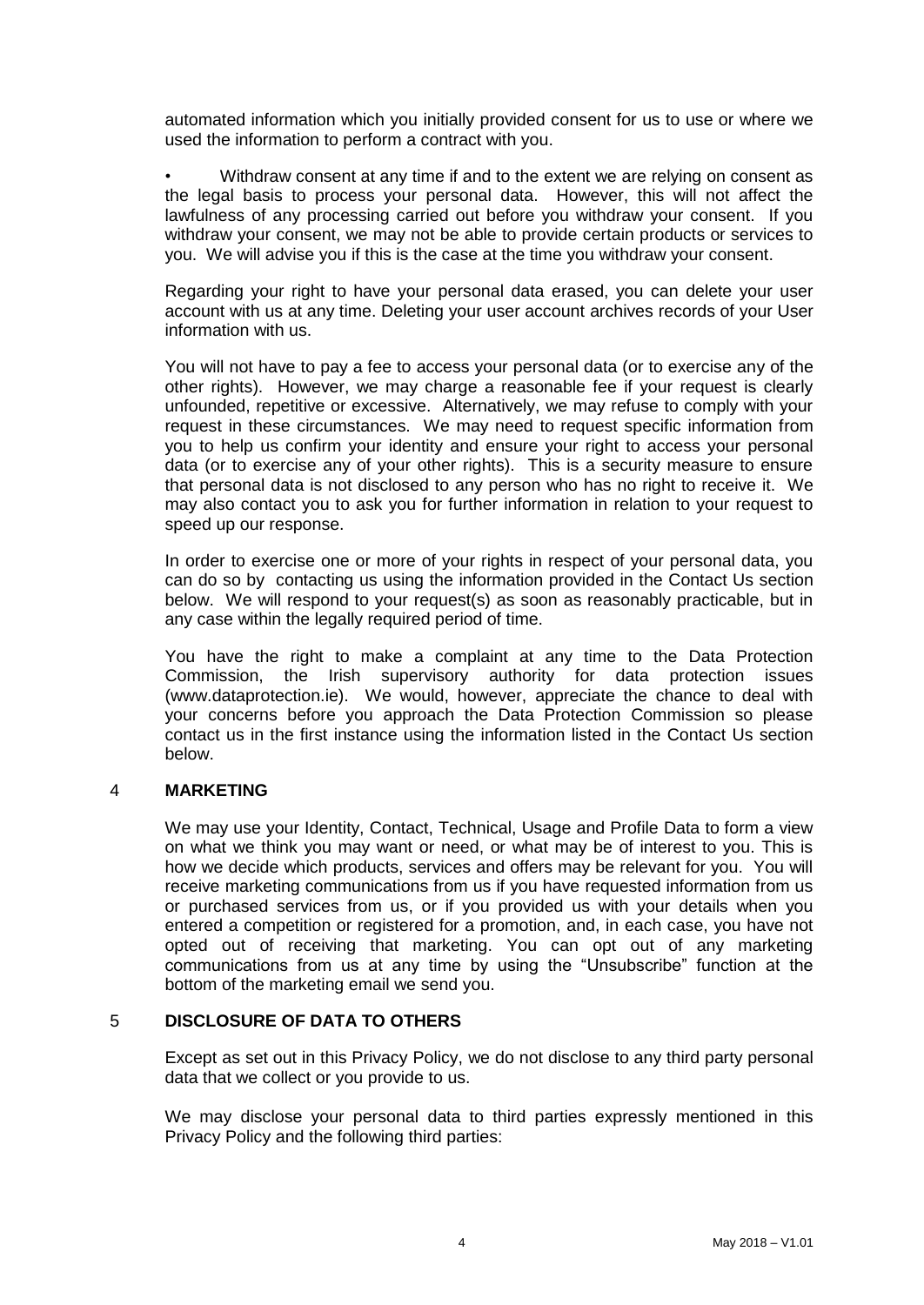automated information which you initially provided consent for us to use or where we used the information to perform a contract with you.

Withdraw consent at any time if and to the extent we are relying on consent as the legal basis to process your personal data. However, this will not affect the lawfulness of any processing carried out before you withdraw your consent. If you withdraw your consent, we may not be able to provide certain products or services to you. We will advise you if this is the case at the time you withdraw your consent.

Regarding your right to have your personal data erased, you can delete your user account with us at any time. Deleting your user account archives records of your User information with us.

You will not have to pay a fee to access your personal data (or to exercise any of the other rights). However, we may charge a reasonable fee if your request is clearly unfounded, repetitive or excessive. Alternatively, we may refuse to comply with your request in these circumstances. We may need to request specific information from you to help us confirm your identity and ensure your right to access your personal data (or to exercise any of your other rights). This is a security measure to ensure that personal data is not disclosed to any person who has no right to receive it. We may also contact you to ask you for further information in relation to your request to speed up our response.

In order to exercise one or more of your rights in respect of your personal data, you can do so by contacting us using the information provided in the Contact Us section below. We will respond to your request(s) as soon as reasonably practicable, but in any case within the legally required period of time.

You have the right to make a complaint at any time to the Data Protection Commission, the Irish supervisory authority for data protection issues (www.dataprotection.ie). We would, however, appreciate the chance to deal with your concerns before you approach the Data Protection Commission so please contact us in the first instance using the information listed in the Contact Us section below.

# 4 **MARKETING**

We may use your Identity, Contact, Technical, Usage and Profile Data to form a view on what we think you may want or need, or what may be of interest to you. This is how we decide which products, services and offers may be relevant for you. You will receive marketing communications from us if you have requested information from us or purchased services from us, or if you provided us with your details when you entered a competition or registered for a promotion, and, in each case, you have not opted out of receiving that marketing. You can opt out of any marketing communications from us at any time by using the "Unsubscribe" function at the bottom of the marketing email we send you.

# 5 **DISCLOSURE OF DATA TO OTHERS**

Except as set out in this Privacy Policy, we do not disclose to any third party personal data that we collect or you provide to us.

We may disclose your personal data to third parties expressly mentioned in this Privacy Policy and the following third parties: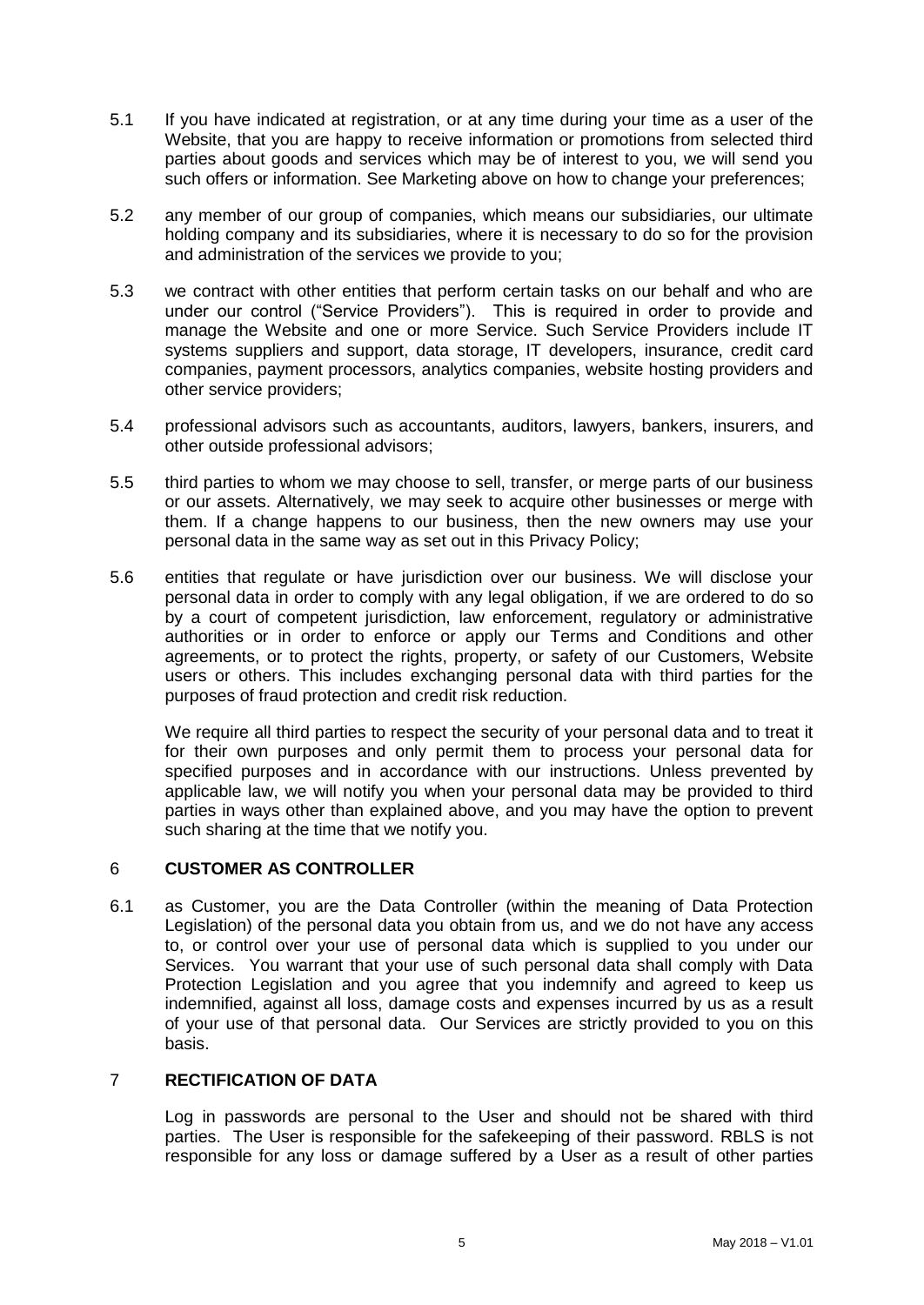- 5.1 If you have indicated at registration, or at any time during your time as a user of the Website, that you are happy to receive information or promotions from selected third parties about goods and services which may be of interest to you, we will send you such offers or information. See Marketing above on how to change your preferences;
- 5.2 any member of our group of companies, which means our subsidiaries, our ultimate holding company and its subsidiaries, where it is necessary to do so for the provision and administration of the services we provide to you;
- 5.3 we contract with other entities that perform certain tasks on our behalf and who are under our control ("Service Providers"). This is required in order to provide and manage the Website and one or more Service. Such Service Providers include IT systems suppliers and support, data storage, IT developers, insurance, credit card companies, payment processors, analytics companies, website hosting providers and other service providers;
- 5.4 professional advisors such as accountants, auditors, lawyers, bankers, insurers, and other outside professional advisors;
- 5.5 third parties to whom we may choose to sell, transfer, or merge parts of our business or our assets. Alternatively, we may seek to acquire other businesses or merge with them. If a change happens to our business, then the new owners may use your personal data in the same way as set out in this Privacy Policy;
- 5.6 entities that regulate or have jurisdiction over our business. We will disclose your personal data in order to comply with any legal obligation, if we are ordered to do so by a court of competent jurisdiction, law enforcement, regulatory or administrative authorities or in order to enforce or apply our Terms and Conditions and other agreements, or to protect the rights, property, or safety of our Customers, Website users or others. This includes exchanging personal data with third parties for the purposes of fraud protection and credit risk reduction.

We require all third parties to respect the security of your personal data and to treat it for their own purposes and only permit them to process your personal data for specified purposes and in accordance with our instructions. Unless prevented by applicable law, we will notify you when your personal data may be provided to third parties in ways other than explained above, and you may have the option to prevent such sharing at the time that we notify you.

# 6 **CUSTOMER AS CONTROLLER**

6.1 as Customer, you are the Data Controller (within the meaning of Data Protection Legislation) of the personal data you obtain from us, and we do not have any access to, or control over your use of personal data which is supplied to you under our Services. You warrant that your use of such personal data shall comply with Data Protection Legislation and you agree that you indemnify and agreed to keep us indemnified, against all loss, damage costs and expenses incurred by us as a result of your use of that personal data. Our Services are strictly provided to you on this basis.

# 7 **RECTIFICATION OF DATA**

Log in passwords are personal to the User and should not be shared with third parties. The User is responsible for the safekeeping of their password. RBLS is not responsible for any loss or damage suffered by a User as a result of other parties